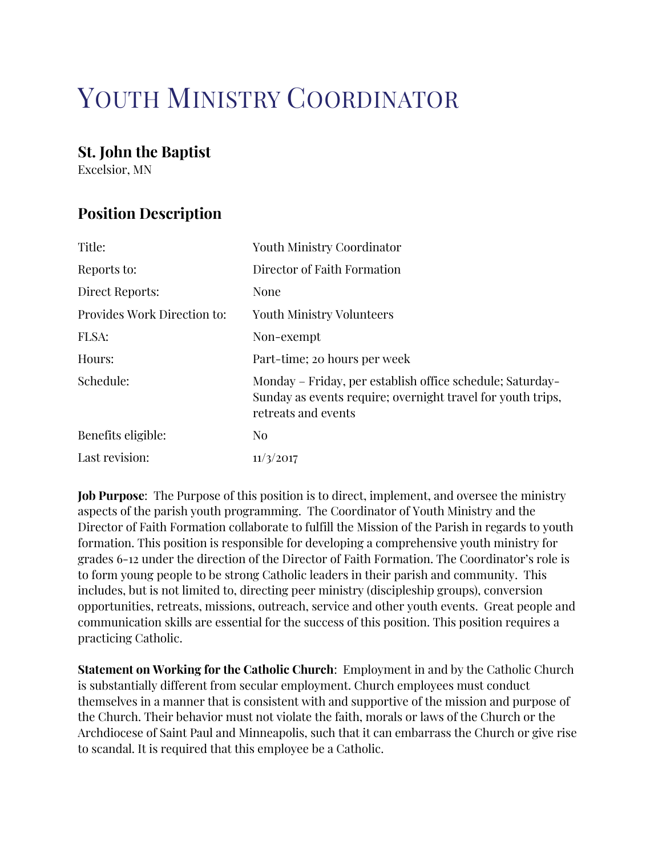# YOUTH MINISTRY COORDINATOR

### St. John the Baptist

Excelsior, MN

## Position Description

| Title:                      | Youth Ministry Coordinator                                                                                                                      |
|-----------------------------|-------------------------------------------------------------------------------------------------------------------------------------------------|
| Reports to:                 | Director of Faith Formation                                                                                                                     |
| Direct Reports:             | None                                                                                                                                            |
| Provides Work Direction to: | <b>Youth Ministry Volunteers</b>                                                                                                                |
| FLSA:                       | Non-exempt                                                                                                                                      |
| Hours:                      | Part-time; 20 hours per week                                                                                                                    |
| Schedule:                   | Monday – Friday, per establish office schedule; Saturday–<br>Sunday as events require; overnight travel for youth trips,<br>retreats and events |
| Benefits eligible:          | N <sub>0</sub>                                                                                                                                  |
| Last revision:              | 11/3/2017                                                                                                                                       |

Job Purpose: The Purpose of this position is to direct, implement, and oversee the ministry aspects of the parish youth programming. The Coordinator of Youth Ministry and the Director of Faith Formation collaborate to fulfill the Mission of the Parish in regards to youth formation. This position is responsible for developing a comprehensive youth ministry for grades 6-12 under the direction of the Director of Faith Formation. The Coordinator's role is to form young people to be strong Catholic leaders in their parish and community. This includes, but is not limited to, directing peer ministry (discipleship groups), conversion opportunities, retreats, missions, outreach, service and other youth events. Great people and communication skills are essential for the success of this position. This position requires a practicing Catholic.

Statement on Working for the Catholic Church: Employment in and by the Catholic Church is substantially different from secular employment. Church employees must conduct themselves in a manner that is consistent with and supportive of the mission and purpose of the Church. Their behavior must not violate the faith, morals or laws of the Church or the Archdiocese of Saint Paul and Minneapolis, such that it can embarrass the Church or give rise to scandal. It is required that this employee be a Catholic.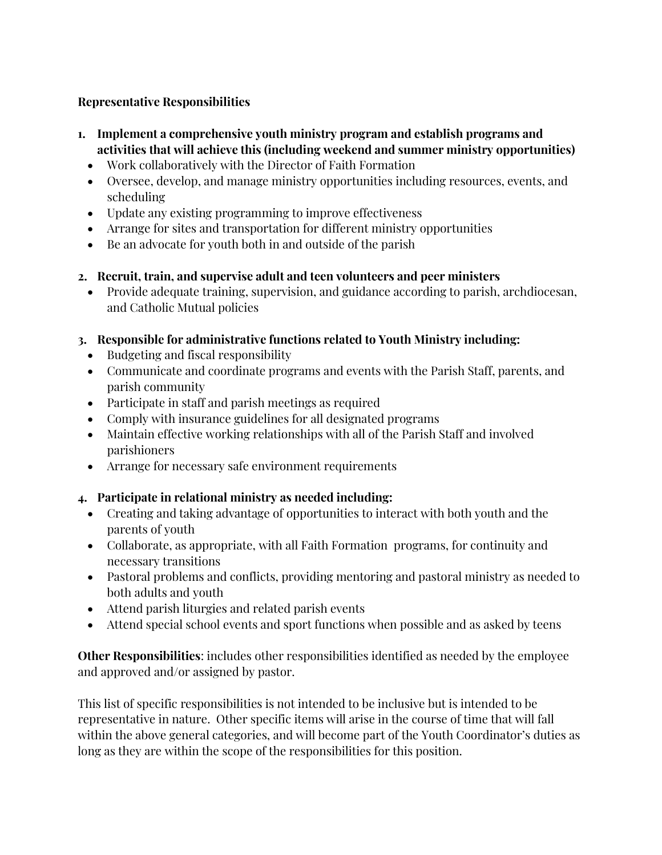#### Representative Responsibilities

- 1. Implement a comprehensive youth ministry program and establish programs and activities that will achieve this (including weekend and summer ministry opportunities)
	- Work collaboratively with the Director of Faith Formation
	- Oversee, develop, and manage ministry opportunities including resources, events, and scheduling
	- Update any existing programming to improve effectiveness
	- Arrange for sites and transportation for different ministry opportunities
	- Be an advocate for youth both in and outside of the parish
- 2. Recruit, train, and supervise adult and teen volunteers and peer ministers
	- Provide adequate training, supervision, and guidance according to parish, archdiocesan, and Catholic Mutual policies

#### 3. Responsible for administrative functions related to Youth Ministry including:

- Budgeting and fiscal responsibility
- Communicate and coordinate programs and events with the Parish Staff, parents, and parish community
- Participate in staff and parish meetings as required
- Comply with insurance guidelines for all designated programs
- Maintain effective working relationships with all of the Parish Staff and involved parishioners
- Arrange for necessary safe environment requirements

#### 4. Participate in relational ministry as needed including:

- Creating and taking advantage of opportunities to interact with both youth and the parents of youth
- Collaborate, as appropriate, with all Faith Formation programs, for continuity and necessary transitions
- Pastoral problems and conflicts, providing mentoring and pastoral ministry as needed to both adults and youth
- Attend parish liturgies and related parish events
- Attend special school events and sport functions when possible and as asked by teens

Other Responsibilities: includes other responsibilities identified as needed by the employee and approved and/or assigned by pastor.

This list of specific responsibilities is not intended to be inclusive but is intended to be representative in nature. Other specific items will arise in the course of time that will fall within the above general categories, and will become part of the Youth Coordinator's duties as long as they are within the scope of the responsibilities for this position.